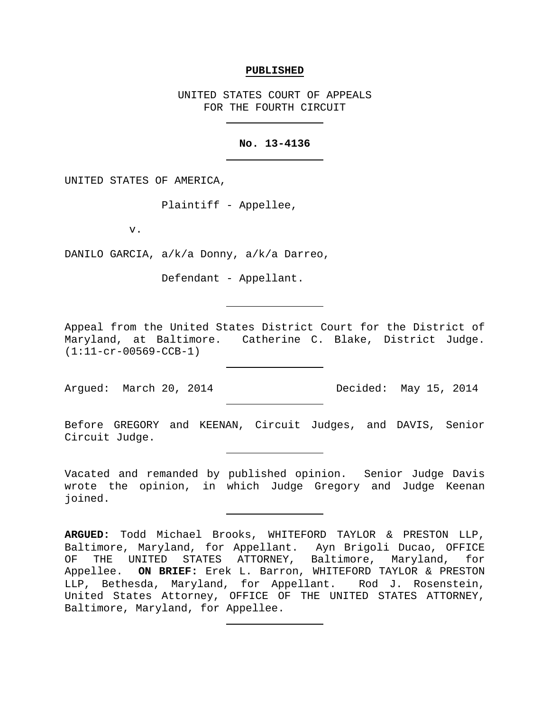#### **PUBLISHED**

UNITED STATES COURT OF APPEALS FOR THE FOURTH CIRCUIT

## **No. 13-4136**

UNITED STATES OF AMERICA,

Plaintiff - Appellee,

v.

DANILO GARCIA, a/k/a Donny, a/k/a Darreo,

Defendant - Appellant.

Appeal from the United States District Court for the District of Maryland, at Baltimore. Catherine C. Blake, District Judge. (1:11-cr-00569-CCB-1)

Argued: March 20, 2014 Decided: May 15, 2014

Before GREGORY and KEENAN, Circuit Judges, and DAVIS, Senior Circuit Judge.

Vacated and remanded by published opinion. Senior Judge Davis wrote the opinion, in which Judge Gregory and Judge Keenan joined.

**ARGUED:** Todd Michael Brooks, WHITEFORD TAYLOR & PRESTON LLP, Baltimore, Maryland, for Appellant. Ayn Brigoli Ducao, OFFICE<br>OF THE UNITED STATES ATTORNEY, Baltimore, Maryland, for THE UNITED STATES ATTORNEY, Baltimore, Maryland, for Appellee. **ON BRIEF:** Erek L. Barron, WHITEFORD TAYLOR & PRESTON LLP, Bethesda, Maryland, for Appellant. Rod J. Rosenstein, United States Attorney, OFFICE OF THE UNITED STATES ATTORNEY, Baltimore, Maryland, for Appellee.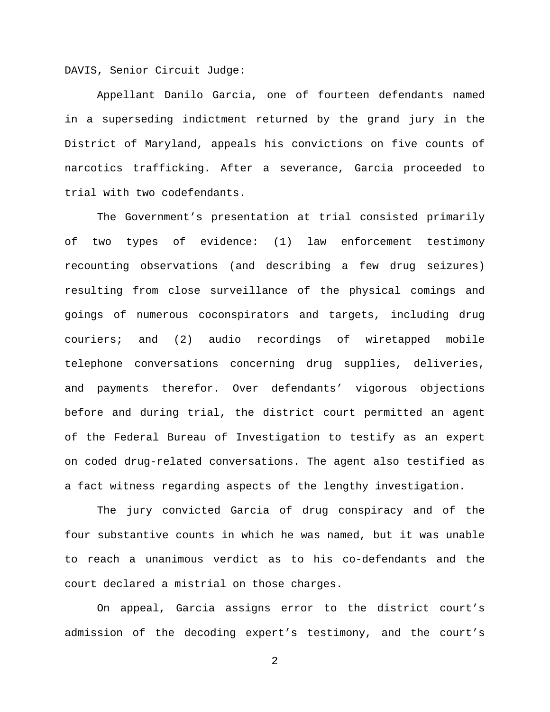DAVIS, Senior Circuit Judge:

Appellant Danilo Garcia, one of fourteen defendants named in a superseding indictment returned by the grand jury in the District of Maryland, appeals his convictions on five counts of narcotics trafficking. After a severance, Garcia proceeded to trial with two codefendants.

The Government's presentation at trial consisted primarily of two types of evidence: (1) law enforcement testimony recounting observations (and describing a few drug seizures) resulting from close surveillance of the physical comings and goings of numerous coconspirators and targets, including drug couriers; and (2) audio recordings of wiretapped mobile telephone conversations concerning drug supplies, deliveries, and payments therefor. Over defendants' vigorous objections before and during trial, the district court permitted an agent of the Federal Bureau of Investigation to testify as an expert on coded drug-related conversations. The agent also testified as a fact witness regarding aspects of the lengthy investigation.

The jury convicted Garcia of drug conspiracy and of the four substantive counts in which he was named, but it was unable to reach a unanimous verdict as to his co-defendants and the court declared a mistrial on those charges.

On appeal, Garcia assigns error to the district court's admission of the decoding expert's testimony, and the court's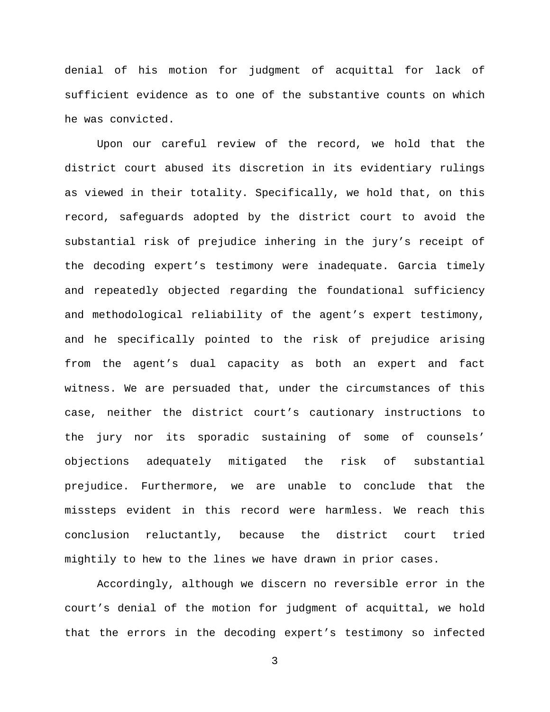denial of his motion for judgment of acquittal for lack of sufficient evidence as to one of the substantive counts on which he was convicted.

Upon our careful review of the record, we hold that the district court abused its discretion in its evidentiary rulings as viewed in their totality. Specifically, we hold that, on this record, safeguards adopted by the district court to avoid the substantial risk of prejudice inhering in the jury's receipt of the decoding expert's testimony were inadequate. Garcia timely and repeatedly objected regarding the foundational sufficiency and methodological reliability of the agent's expert testimony, and he specifically pointed to the risk of prejudice arising from the agent's dual capacity as both an expert and fact witness. We are persuaded that, under the circumstances of this case, neither the district court's cautionary instructions to the jury nor its sporadic sustaining of some of counsels' objections adequately mitigated the risk of substantial prejudice. Furthermore, we are unable to conclude that the missteps evident in this record were harmless. We reach this conclusion reluctantly, because the district court tried mightily to hew to the lines we have drawn in prior cases.

Accordingly, although we discern no reversible error in the court's denial of the motion for judgment of acquittal, we hold that the errors in the decoding expert's testimony so infected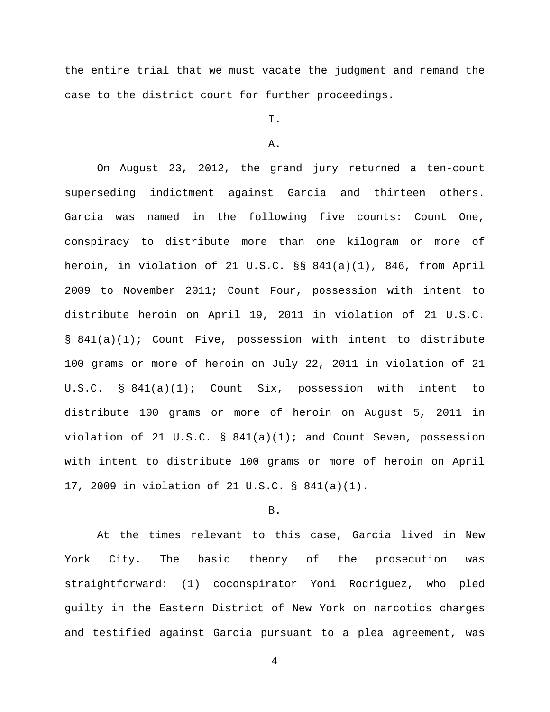the entire trial that we must vacate the judgment and remand the case to the district court for further proceedings.

# I.

#### A.

On August 23, 2012, the grand jury returned a ten-count superseding indictment against Garcia and thirteen others. Garcia was named in the following five counts: Count One, conspiracy to distribute more than one kilogram or more of heroin, in violation of 21 U.S.C. §§ 841(a)(1), 846, from April 2009 to November 2011; Count Four, possession with intent to distribute heroin on April 19, 2011 in violation of 21 U.S.C. § 841(a)(1); Count Five, possession with intent to distribute 100 grams or more of heroin on July 22, 2011 in violation of 21 U.S.C. § 841(a)(1); Count Six, possession with intent to distribute 100 grams or more of heroin on August 5, 2011 in violation of 21 U.S.C. §  $841(a)(1)$ ; and Count Seven, possession with intent to distribute 100 grams or more of heroin on April 17, 2009 in violation of 21 U.S.C. § 841(a)(1).

## B.

At the times relevant to this case, Garcia lived in New York City. The basic theory of the prosecution was straightforward: (1) coconspirator Yoni Rodriguez, who pled guilty in the Eastern District of New York on narcotics charges and testified against Garcia pursuant to a plea agreement, was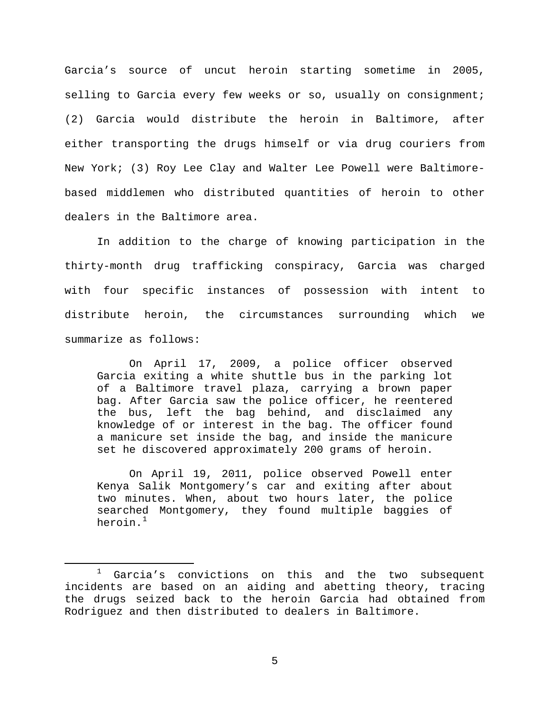Garcia's source of uncut heroin starting sometime in 2005, selling to Garcia every few weeks or so, usually on consignment; (2) Garcia would distribute the heroin in Baltimore, after either transporting the drugs himself or via drug couriers from New York; (3) Roy Lee Clay and Walter Lee Powell were Baltimorebased middlemen who distributed quantities of heroin to other dealers in the Baltimore area.

In addition to the charge of knowing participation in the thirty-month drug trafficking conspiracy, Garcia was charged with four specific instances of possession with intent to distribute heroin, the circumstances surrounding which we summarize as follows:

On April 17, 2009, a police officer observed Garcia exiting a white shuttle bus in the parking lot of a Baltimore travel plaza, carrying a brown paper bag. After Garcia saw the police officer, he reentered the bus, left the bag behind, and disclaimed any knowledge of or interest in the bag. The officer found a manicure set inside the bag, and inside the manicure set he discovered approximately 200 grams of heroin.

On April 19, 2011, police observed Powell enter Kenya Salik Montgomery's car and exiting after about two minutes. When, about two hours later, the police searched Montgomery, they found multiple baggies of heroin.<sup>[1](#page-4-0)</sup>

<span id="page-4-0"></span> $1$  Garcia's convictions on this and the two subsequent incidents are based on an aiding and abetting theory, tracing the drugs seized back to the heroin Garcia had obtained from Rodriguez and then distributed to dealers in Baltimore.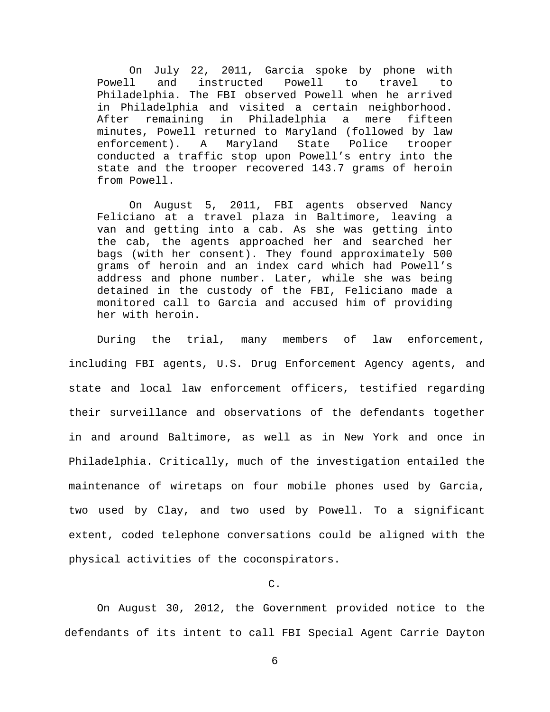On July 22, 2011, Garcia spoke by phone with<br>Powell and instructed Powell to travel to instructed Powell to travel to Philadelphia. The FBI observed Powell when he arrived in Philadelphia and visited a certain neighborhood. After remaining in Philadelphia minutes, Powell returned to Maryland (followed by law enforcement). A Maryland State Police trooper conducted a traffic stop upon Powell's entry into the state and the trooper recovered 143.7 grams of heroin from Powell.

On August 5, 2011, FBI agents observed Nancy Feliciano at a travel plaza in Baltimore, leaving a van and getting into a cab. As she was getting into the cab, the agents approached her and searched her bags (with her consent). They found approximately 500 grams of heroin and an index card which had Powell's address and phone number. Later, while she was being detained in the custody of the FBI, Feliciano made a monitored call to Garcia and accused him of providing her with heroin.

During the trial, many members of law enforcement, including FBI agents, U.S. Drug Enforcement Agency agents, and state and local law enforcement officers, testified regarding their surveillance and observations of the defendants together in and around Baltimore, as well as in New York and once in Philadelphia. Critically, much of the investigation entailed the maintenance of wiretaps on four mobile phones used by Garcia, two used by Clay, and two used by Powell. To a significant extent, coded telephone conversations could be aligned with the physical activities of the coconspirators.

## C.

On August 30, 2012, the Government provided notice to the defendants of its intent to call FBI Special Agent Carrie Dayton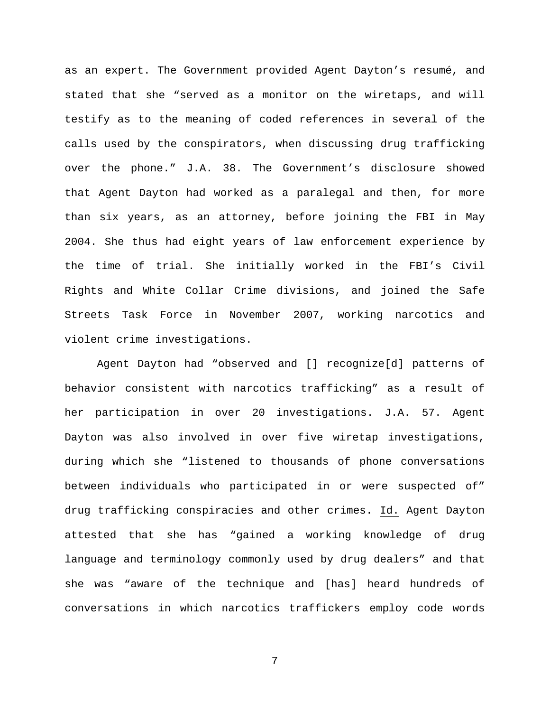as an expert. The Government provided Agent Dayton's resumé, and stated that she "served as a monitor on the wiretaps, and will testify as to the meaning of coded references in several of the calls used by the conspirators, when discussing drug trafficking over the phone." J.A. 38. The Government's disclosure showed that Agent Dayton had worked as a paralegal and then, for more than six years, as an attorney, before joining the FBI in May 2004. She thus had eight years of law enforcement experience by the time of trial. She initially worked in the FBI's Civil Rights and White Collar Crime divisions, and joined the Safe Streets Task Force in November 2007, working narcotics and violent crime investigations.

Agent Dayton had "observed and [] recognize[d] patterns of behavior consistent with narcotics trafficking" as a result of her participation in over 20 investigations. J.A. 57. Agent Dayton was also involved in over five wiretap investigations, during which she "listened to thousands of phone conversations between individuals who participated in or were suspected of" drug trafficking conspiracies and other crimes. Id. Agent Dayton attested that she has "gained a working knowledge of drug language and terminology commonly used by drug dealers" and that she was "aware of the technique and [has] heard hundreds of conversations in which narcotics traffickers employ code words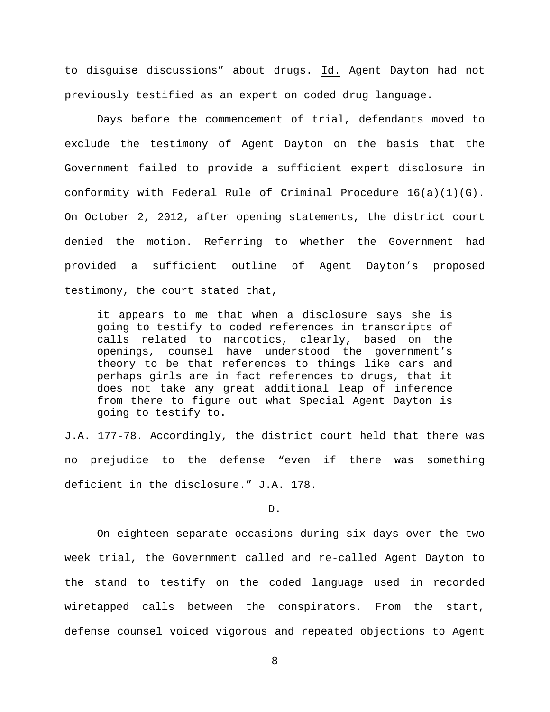to disguise discussions" about drugs. Id. Agent Dayton had not previously testified as an expert on coded drug language.

Days before the commencement of trial, defendants moved to exclude the testimony of Agent Dayton on the basis that the Government failed to provide a sufficient expert disclosure in conformity with Federal Rule of Criminal Procedure 16(a)(1)(G). On October 2, 2012, after opening statements, the district court denied the motion. Referring to whether the Government had provided a sufficient outline of Agent Dayton's proposed testimony, the court stated that,

it appears to me that when a disclosure says she is going to testify to coded references in transcripts of calls related to narcotics, clearly, based on the openings, counsel have understood the government's theory to be that references to things like cars and perhaps girls are in fact references to drugs, that it does not take any great additional leap of inference from there to figure out what Special Agent Dayton is going to testify to.

J.A. 177-78. Accordingly, the district court held that there was no prejudice to the defense "even if there was something deficient in the disclosure." J.A. 178.

D.

On eighteen separate occasions during six days over the two week trial, the Government called and re-called Agent Dayton to the stand to testify on the coded language used in recorded wiretapped calls between the conspirators. From the start, defense counsel voiced vigorous and repeated objections to Agent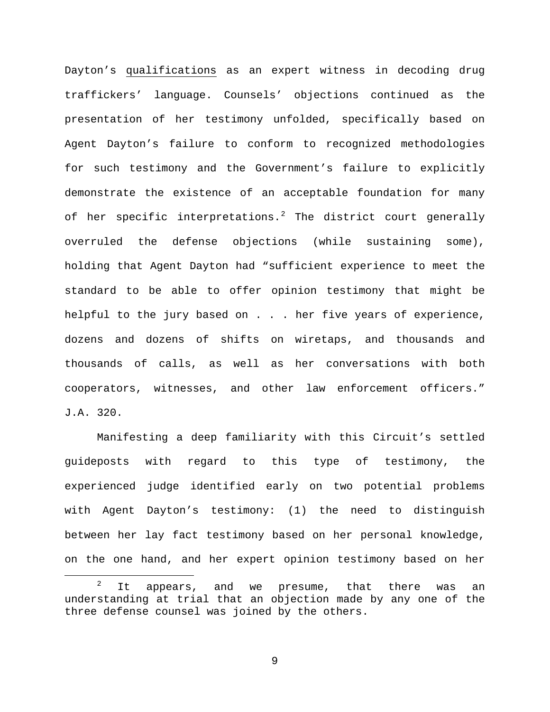Dayton's qualifications as an expert witness in decoding drug traffickers' language. Counsels' objections continued as the presentation of her testimony unfolded, specifically based on Agent Dayton's failure to conform to recognized methodologies for such testimony and the Government's failure to explicitly demonstrate the existence of an acceptable foundation for many of her specific interpretations.<sup>[2](#page-8-0)</sup> The district court generally overruled the defense objections (while sustaining some), holding that Agent Dayton had "sufficient experience to meet the standard to be able to offer opinion testimony that might be helpful to the jury based on . . . her five years of experience, dozens and dozens of shifts on wiretaps, and thousands and thousands of calls, as well as her conversations with both cooperators, witnesses, and other law enforcement officers." J.A. 320.

Manifesting a deep familiarity with this Circuit's settled guideposts with regard to this type of testimony, the experienced judge identified early on two potential problems with Agent Dayton's testimony: (1) the need to distinguish between her lay fact testimony based on her personal knowledge, on the one hand, and her expert opinion testimony based on her

<span id="page-8-0"></span> $2$  It appears, and we presume, that there was an understanding at trial that an objection made by any one of the three defense counsel was joined by the others.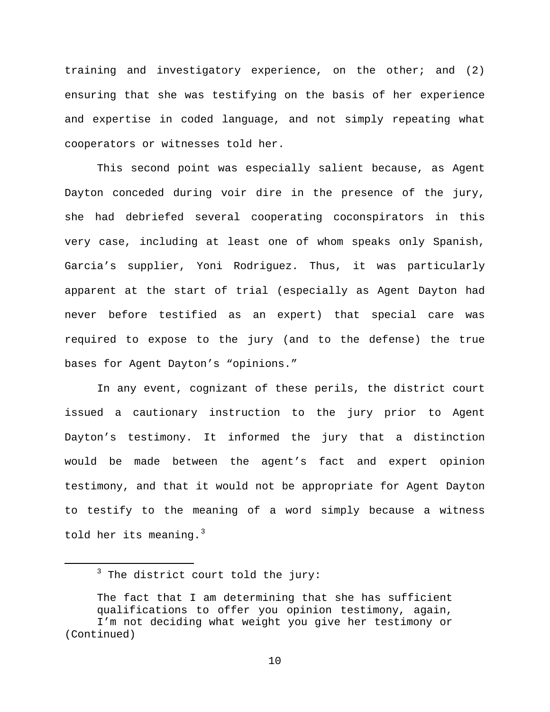training and investigatory experience, on the other; and (2) ensuring that she was testifying on the basis of her experience and expertise in coded language, and not simply repeating what cooperators or witnesses told her.

This second point was especially salient because, as Agent Dayton conceded during voir dire in the presence of the jury, she had debriefed several cooperating coconspirators in this very case, including at least one of whom speaks only Spanish, Garcia's supplier, Yoni Rodriguez. Thus, it was particularly apparent at the start of trial (especially as Agent Dayton had never before testified as an expert) that special care was required to expose to the jury (and to the defense) the true bases for Agent Dayton's "opinions."

In any event, cognizant of these perils, the district court issued a cautionary instruction to the jury prior to Agent Dayton's testimony. It informed the jury that a distinction would be made between the agent's fact and expert opinion testimony, and that it would not be appropriate for Agent Dayton to testify to the meaning of a word simply because a witness told her its meaning. $3$ 

 $3$  The district court told the jury:

<span id="page-9-0"></span>The fact that I am determining that she has sufficient qualifications to offer you opinion testimony, again, I'm not deciding what weight you give her testimony or (Continued)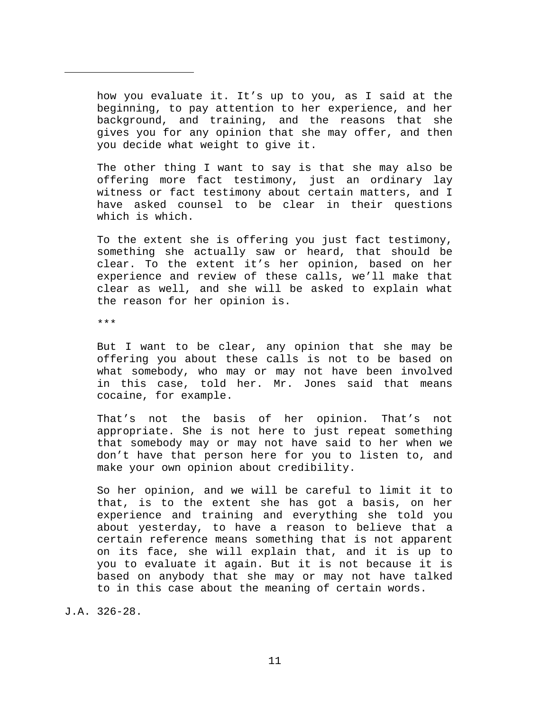how you evaluate it. It's up to you, as I said at the beginning, to pay attention to her experience, and her background, and training, and the reasons that she gives you for any opinion that she may offer, and then you decide what weight to give it.

The other thing I want to say is that she may also be offering more fact testimony, just an ordinary lay witness or fact testimony about certain matters, and I have asked counsel to be clear in their questions which is which.

To the extent she is offering you just fact testimony, something she actually saw or heard, that should be clear. To the extent it's her opinion, based on her experience and review of these calls, we'll make that clear as well, and she will be asked to explain what the reason for her opinion is.

\*\*\*

Ĩ.

But I want to be clear, any opinion that she may be offering you about these calls is not to be based on what somebody, who may or may not have been involved in this case, told her. Mr. Jones said that means cocaine, for example.

That's not the basis of her opinion. That's not appropriate. She is not here to just repeat something that somebody may or may not have said to her when we don't have that person here for you to listen to, and make your own opinion about credibility.

So her opinion, and we will be careful to limit it to that, is to the extent she has got a basis, on her experience and training and everything she told you about yesterday, to have a reason to believe that a certain reference means something that is not apparent on its face, she will explain that, and it is up to you to evaluate it again. But it is not because it is based on anybody that she may or may not have talked to in this case about the meaning of certain words.

J.A. 326-28.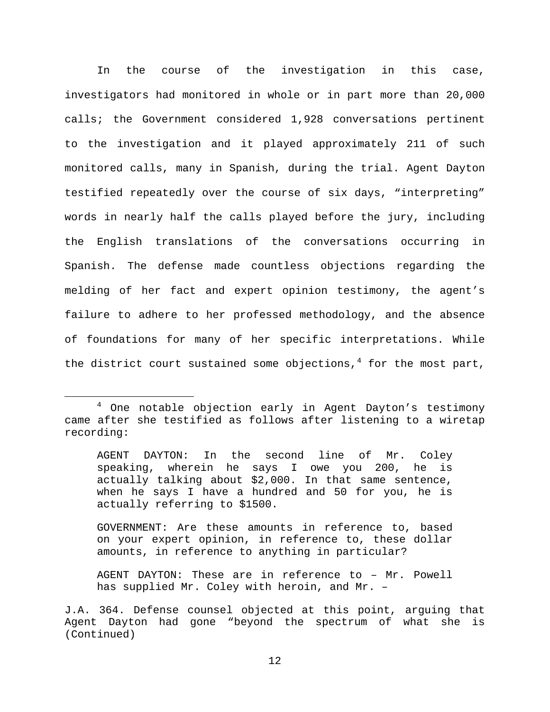In the course of the investigation in this case, investigators had monitored in whole or in part more than 20,000 calls; the Government considered 1,928 conversations pertinent to the investigation and it played approximately 211 of such monitored calls, many in Spanish, during the trial. Agent Dayton testified repeatedly over the course of six days, "interpreting" words in nearly half the calls played before the jury, including the English translations of the conversations occurring in Spanish. The defense made countless objections regarding the melding of her fact and expert opinion testimony, the agent's failure to adhere to her professed methodology, and the absence of foundations for many of her specific interpretations. While the district court sustained some objections, $4$  for the most part,

AGENT DAYTON: In the second line of Mr. Coley speaking, wherein he says I owe you 200, he is actually talking about \$2,000. In that same sentence, when he says I have a hundred and 50 for you, he is actually referring to \$1500.

GOVERNMENT: Are these amounts in reference to, based on your expert opinion, in reference to, these dollar amounts, in reference to anything in particular?

AGENT DAYTON: These are in reference to – Mr. Powell has supplied Mr. Coley with heroin, and Mr. –

<span id="page-11-0"></span> <sup>4</sup> One notable objection early in Agent Dayton's testimony came after she testified as follows after listening to a wiretap recording:

J.A. 364. Defense counsel objected at this point, arguing that Agent Dayton had gone "beyond the spectrum of what she is (Continued)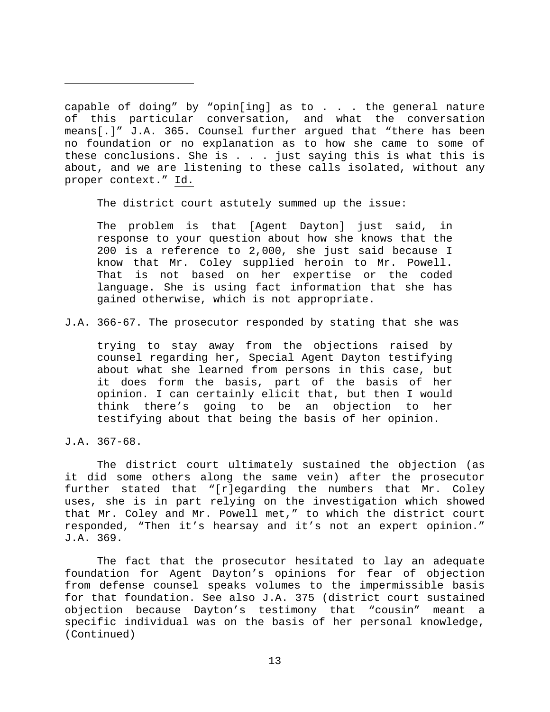capable of doing" by "opin[ing] as to  $\ldots$  . the general nature of this particular conversation, and what the conversation means[.]" J.A. 365. Counsel further argued that "there has been no foundation or no explanation as to how she came to some of these conclusions. She is . . . just saying this is what this is about, and we are listening to these calls isolated, without any proper context." Id.

The district court astutely summed up the issue:

The problem is that [Agent Dayton] just said, in response to your question about how she knows that the 200 is a reference to 2,000, she just said because I know that Mr. Coley supplied heroin to Mr. Powell. That is not based on her expertise or the coded language. She is using fact information that she has gained otherwise, which is not appropriate.

J.A. 366-67. The prosecutor responded by stating that she was

trying to stay away from the objections raised by counsel regarding her, Special Agent Dayton testifying about what she learned from persons in this case, but it does form the basis, part of the basis of her opinion. I can certainly elicit that, but then I would think there's going to be an objection to her testifying about that being the basis of her opinion.

J.A. 367-68.

Ĩ.

The district court ultimately sustained the objection (as it did some others along the same vein) after the prosecutor further stated that "[r]egarding the numbers that Mr. Coley uses, she is in part relying on the investigation which showed that Mr. Coley and Mr. Powell met," to which the district court responded, "Then it's hearsay and it's not an expert opinion." J.A. 369.

The fact that the prosecutor hesitated to lay an adequate foundation for Agent Dayton's opinions for fear of objection from defense counsel speaks volumes to the impermissible basis for that foundation. See also J.A. 375 (district court sustained objection because Dayton's testimony that "cousin" meant a specific individual was on the basis of her personal knowledge, (Continued)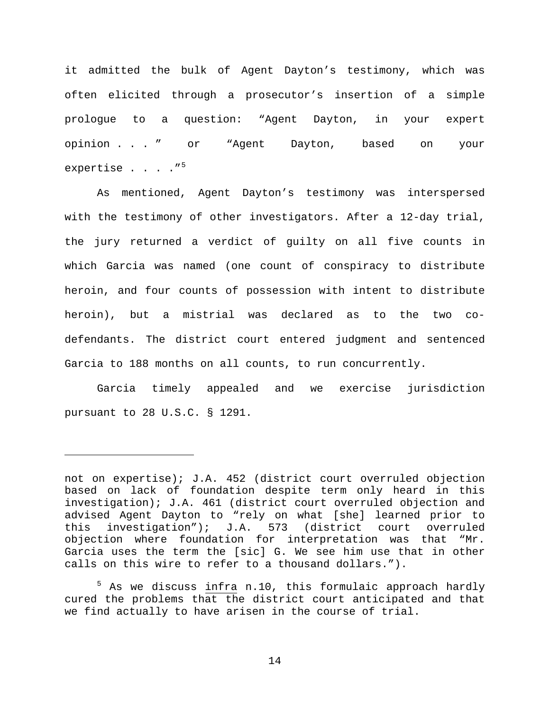it admitted the bulk of Agent Dayton's testimony, which was often elicited through a prosecutor's insertion of a simple prologue to a question: "Agent Dayton, in your expert opinion . . . " or "Agent Dayton, based on your expertise  $. . . . .$ 

As mentioned, Agent Dayton's testimony was interspersed with the testimony of other investigators. After a 12-day trial, the jury returned a verdict of guilty on all five counts in which Garcia was named (one count of conspiracy to distribute heroin, and four counts of possession with intent to distribute heroin), but a mistrial was declared as to the two codefendants. The district court entered judgment and sentenced Garcia to 188 months on all counts, to run concurrently.

Garcia timely appealed and we exercise jurisdiction pursuant to 28 U.S.C. § 1291.

Ĩ.

<span id="page-13-0"></span> $5$  As we discuss infra n.10, this formulaic approach hardly cured the problems that the district court anticipated and that we find actually to have arisen in the course of trial.

not on expertise); J.A. 452 (district court overruled objection based on lack of foundation despite term only heard in this investigation); J.A. 461 (district court overruled objection and advised Agent Dayton to "rely on what [she] learned prior to<br>this investigation"); J.A. 573 (district court overruled this investigation"); J.A. 573 (district court overruled objection where foundation for interpretation was that "Mr. Garcia uses the term the [sic] G. We see him use that in other calls on this wire to refer to a thousand dollars.").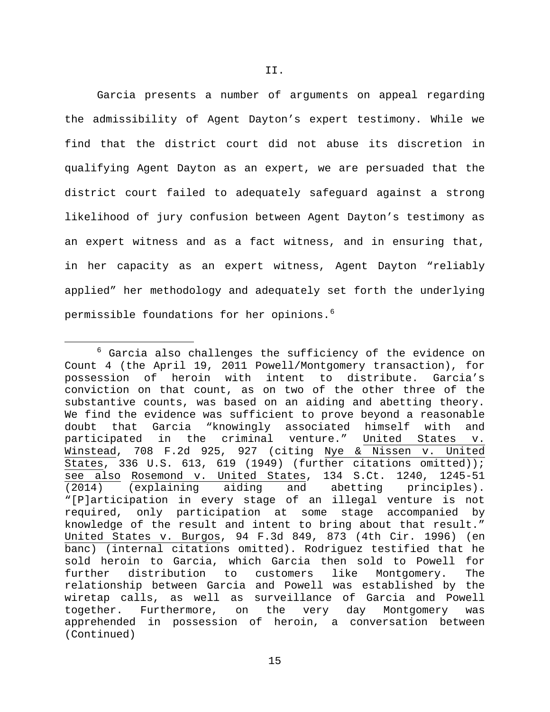Garcia presents a number of arguments on appeal regarding the admissibility of Agent Dayton's expert testimony. While we find that the district court did not abuse its discretion in qualifying Agent Dayton as an expert, we are persuaded that the district court failed to adequately safeguard against a strong likelihood of jury confusion between Agent Dayton's testimony as an expert witness and as a fact witness, and in ensuring that, in her capacity as an expert witness, Agent Dayton "reliably applied" her methodology and adequately set forth the underlying permissible foundations for her opinions.<sup>[6](#page-14-0)</sup>

<span id="page-14-0"></span> $6$  Garcia also challenges the sufficiency of the evidence on Count 4 (the April 19, 2011 Powell/Montgomery transaction), for possession of heroin with intent to distribute. Garcia's conviction on that count, as on two of the other three of the substantive counts, was based on an aiding and abetting theory. We find the evidence was sufficient to prove beyond a reasonable<br>doubt that Garcia "knowingly associated himself with and doubt that Garcia "knowingly associated himself with and<br>participated in the criminal venture." United States v. participated in the Winstead, 708 F.2d 925, 927 (citing Nye & Nissen v. United States, 336 U.S. 613, 619 (1949) (further citations omitted)); see also Rosemond v. United States, 134 S.Ct. 1240, 1245-51<br>(2014) (explaining aiding and abetting principles). aiding and abetting principles). "[P]articipation in every stage of an illegal venture is not required, only participation at some stage accompanied by knowledge of the result and intent to bring about that result." United States v. Burgos, 94 F.3d 849, 873 (4th Cir. 1996) (en banc) (internal citations omitted). Rodriguez testified that he sold heroin to Garcia, which Garcia then sold to Powell for<br>further distribution to customers like Montgomery. The distribution to customers like Montgomery. The relationship between Garcia and Powell was established by the wiretap calls, as well as surveillance of Garcia and Powell together. Furthermore, on the very day Montgomery was apprehended in possession of heroin, a conversation between (Continued)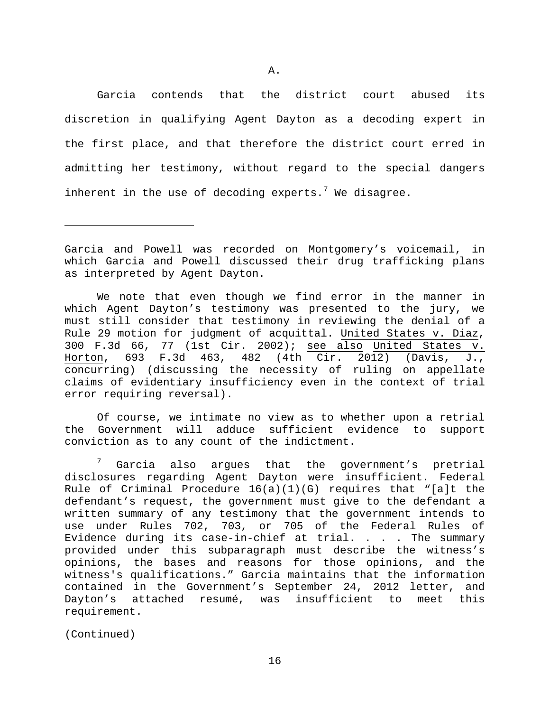Garcia contends that the district court abused its discretion in qualifying Agent Dayton as a decoding expert in the first place, and that therefore the district court erred in admitting her testimony, without regard to the special dangers inherent in the use of decoding experts.<sup>[7](#page-15-0)</sup> We disagree.

We note that even though we find error in the manner in which Agent Dayton's testimony was presented to the jury, we must still consider that testimony in reviewing the denial of a Rule 29 motion for judgment of acquittal. United States v. Diaz, 300 F.3d 66, 77 (1st Cir. 2002); see also United States v. Horton, 693 F.3d 463, 482 (4th Cir. 2012) (Davis, J., concurring) (discussing the necessity of ruling on appellate claims of evidentiary insufficiency even in the context of trial error requiring reversal).

Of course, we intimate no view as to whether upon a retrial the Government will adduce sufficient evidence to support conviction as to any count of the indictment.

<span id="page-15-0"></span> $7$  Garcia also argues that the government's pretrial disclosures regarding Agent Dayton were insufficient. Federal Rule of Criminal Procedure 16(a)(1)(G) requires that "[a]t the defendant's request, the government must give to the defendant a written summary of any testimony that the government intends to use under Rules 702, 703, or 705 of the Federal Rules of Evidence during its case-in-chief at trial. . . . The summary provided under this subparagraph must describe the witness's opinions, the bases and reasons for those opinions, and the witness's qualifications." Garcia maintains that the information contained in the Government's September 24, 2012 letter, and Dayton's attached resumé, was insufficient to meet this requirement.

(Continued)

Ĩ.

Garcia and Powell was recorded on Montgomery's voicemail, in which Garcia and Powell discussed their drug trafficking plans as interpreted by Agent Dayton.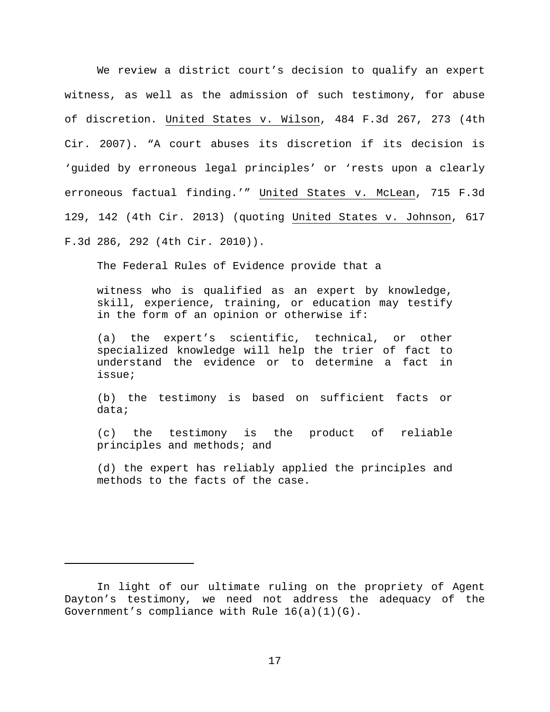We review a district court's decision to qualify an expert witness, as well as the admission of such testimony, for abuse of discretion. United States v. Wilson, 484 F.3d 267, 273 (4th Cir. 2007). "A court abuses its discretion if its decision is 'guided by erroneous legal principles' or 'rests upon a clearly erroneous factual finding.'" United States v. McLean, 715 F.3d 129, 142 (4th Cir. 2013) (quoting United States v. Johnson, 617 F.3d 286, 292 (4th Cir. 2010)).

The Federal Rules of Evidence provide that a

witness who is qualified as an expert by knowledge, skill, experience, training, or education may testify in the form of an opinion or otherwise if:

(a) the expert's scientific, technical, or other specialized knowledge will help the trier of fact to understand the evidence or to determine a fact in issue;

(b) the testimony is based on sufficient facts or data;

(c) the testimony is the product of reliable principles and methods; and

(d) the expert has reliably applied the principles and methods to the facts of the case.

Ĩ.

In light of our ultimate ruling on the propriety of Agent Dayton's testimony, we need not address the adequacy of the Government's compliance with Rule 16(a)(1)(G).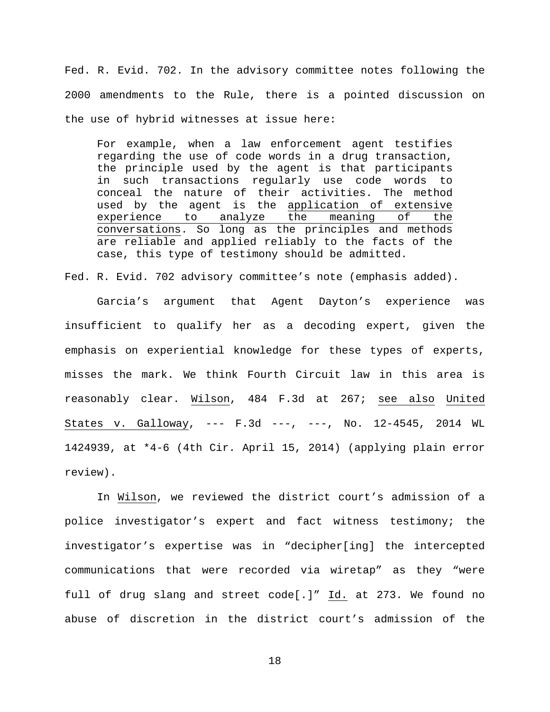Fed. R. Evid. 702. In the advisory committee notes following the 2000 amendments to the Rule, there is a pointed discussion on the use of hybrid witnesses at issue here:

For example, when a law enforcement agent testifies regarding the use of code words in a drug transaction, the principle used by the agent is that participants in such transactions regularly use code words to conceal the nature of their activities. The method used by the agent is the application of extensive<br>experience to analyze the meaning of the experience to analyze the meaning of conversations. So long as the principles and methods are reliable and applied reliably to the facts of the case, this type of testimony should be admitted.

Fed. R. Evid. 702 advisory committee's note (emphasis added).

Garcia's argument that Agent Dayton's experience was insufficient to qualify her as a decoding expert, given the emphasis on experiential knowledge for these types of experts, misses the mark. We think Fourth Circuit law in this area is reasonably clear. Wilson, 484 F.3d at 267; see also United States v. Galloway, --- F.3d ---, ---, No. 12-4545, 2014 WL 1424939, at \*4-6 (4th Cir. April 15, 2014) (applying plain error review).

In Wilson, we reviewed the district court's admission of a police investigator's expert and fact witness testimony; the investigator's expertise was in "decipher[ing] the intercepted communications that were recorded via wiretap" as they "were full of drug slang and street code[.]" Id. at 273. We found no abuse of discretion in the district court's admission of the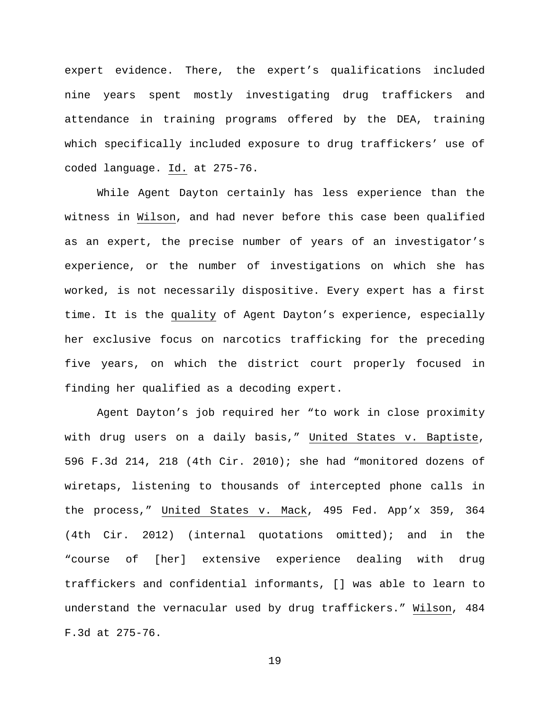expert evidence. There, the expert's qualifications included nine years spent mostly investigating drug traffickers and attendance in training programs offered by the DEA, training which specifically included exposure to drug traffickers' use of coded language. Id. at 275-76.

While Agent Dayton certainly has less experience than the witness in Wilson, and had never before this case been qualified as an expert, the precise number of years of an investigator's experience, or the number of investigations on which she has worked, is not necessarily dispositive. Every expert has a first time. It is the quality of Agent Dayton's experience, especially her exclusive focus on narcotics trafficking for the preceding five years, on which the district court properly focused in finding her qualified as a decoding expert.

Agent Dayton's job required her "to work in close proximity with drug users on a daily basis," United States v. Baptiste, 596 F.3d 214, 218 (4th Cir. 2010); she had "monitored dozens of wiretaps, listening to thousands of intercepted phone calls in the process," United States v. Mack, 495 Fed. App'x 359, 364 (4th Cir. 2012) (internal quotations omitted); and in the "course of [her] extensive experience dealing with drug traffickers and confidential informants, [] was able to learn to understand the vernacular used by drug traffickers." Wilson, 484 F.3d at 275-76.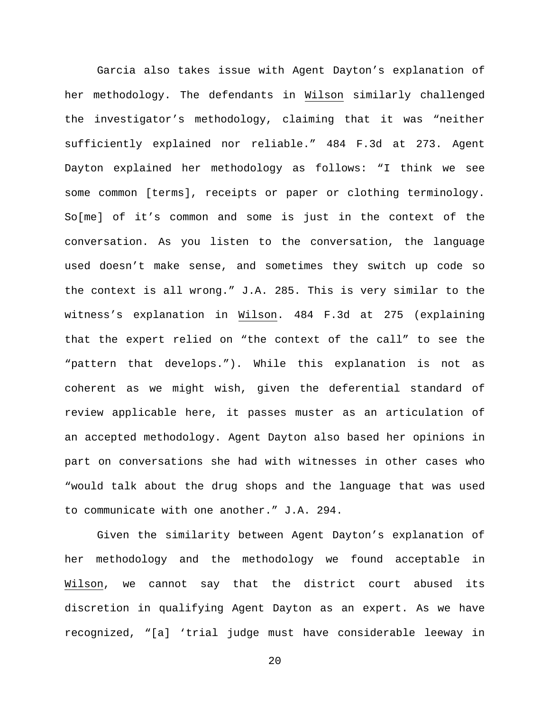Garcia also takes issue with Agent Dayton's explanation of her methodology. The defendants in Wilson similarly challenged the investigator's methodology, claiming that it was "neither sufficiently explained nor reliable." 484 F.3d at 273. Agent Dayton explained her methodology as follows: "I think we see some common [terms], receipts or paper or clothing terminology. So[me] of it's common and some is just in the context of the conversation. As you listen to the conversation, the language used doesn't make sense, and sometimes they switch up code so the context is all wrong." J.A. 285. This is very similar to the witness's explanation in Wilson. 484 F.3d at 275 (explaining that the expert relied on "the context of the call" to see the "pattern that develops."). While this explanation is not as coherent as we might wish, given the deferential standard of review applicable here, it passes muster as an articulation of an accepted methodology. Agent Dayton also based her opinions in part on conversations she had with witnesses in other cases who "would talk about the drug shops and the language that was used to communicate with one another." J.A. 294.

Given the similarity between Agent Dayton's explanation of her methodology and the methodology we found acceptable in Wilson, we cannot say that the district court abused its discretion in qualifying Agent Dayton as an expert. As we have recognized, "[a] 'trial judge must have considerable leeway in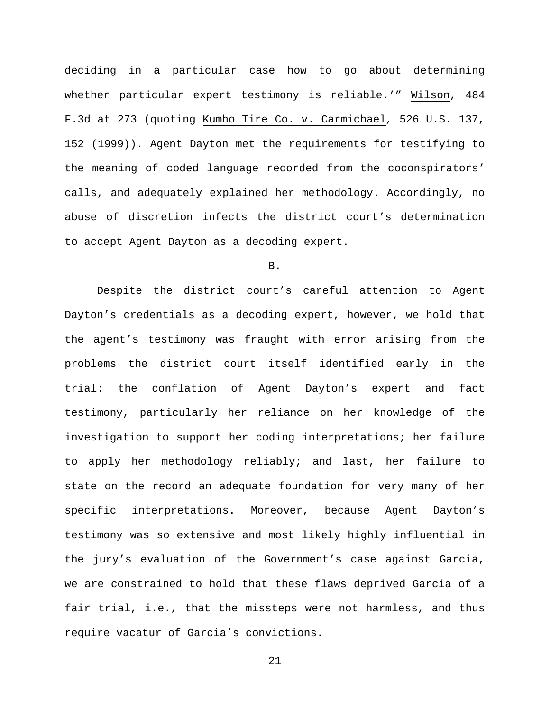deciding in a particular case how to go about determining whether particular expert testimony is reliable.'" Wilson, 484 F.3d at 273 (quoting Kumho Tire Co. v. Carmichael*,* 526 U.S. 137, 152 (1999)). Agent Dayton met the requirements for testifying to the meaning of coded language recorded from the coconspirators' calls, and adequately explained her methodology. Accordingly, no abuse of discretion infects the district court's determination to accept Agent Dayton as a decoding expert.

## B.

Despite the district court's careful attention to Agent Dayton's credentials as a decoding expert, however, we hold that the agent's testimony was fraught with error arising from the problems the district court itself identified early in the trial: the conflation of Agent Dayton's expert and fact testimony, particularly her reliance on her knowledge of the investigation to support her coding interpretations; her failure to apply her methodology reliably; and last, her failure to state on the record an adequate foundation for very many of her specific interpretations. Moreover, because Agent Dayton's testimony was so extensive and most likely highly influential in the jury's evaluation of the Government's case against Garcia, we are constrained to hold that these flaws deprived Garcia of a fair trial, i.e., that the missteps were not harmless, and thus require vacatur of Garcia's convictions.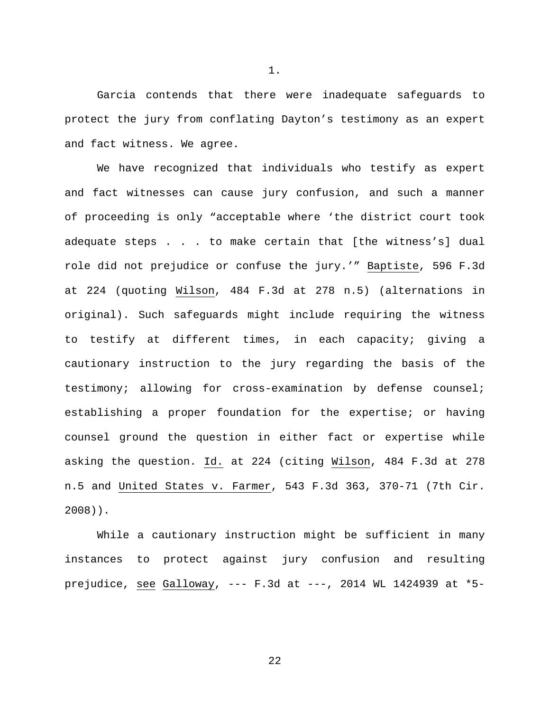Garcia contends that there were inadequate safeguards to protect the jury from conflating Dayton's testimony as an expert and fact witness. We agree.

We have recognized that individuals who testify as expert and fact witnesses can cause jury confusion, and such a manner of proceeding is only "acceptable where 'the district court took adequate steps . . . to make certain that [the witness's] dual role did not prejudice or confuse the jury.'" Baptiste, 596 F.3d at 224 (quoting Wilson, 484 F.3d at 278 n.5) (alternations in original). Such safeguards might include requiring the witness to testify at different times, in each capacity; giving a cautionary instruction to the jury regarding the basis of the testimony; allowing for cross-examination by defense counsel; establishing a proper foundation for the expertise; or having counsel ground the question in either fact or expertise while asking the question. Id. at 224 (citing Wilson, 484 F.3d at 278 n.5 and United States v. Farmer, 543 F.3d 363, 370-71 (7th Cir. 2008)).

While a cautionary instruction might be sufficient in many instances to protect against jury confusion and resulting prejudice, see Galloway, --- F.3d at ---, 2014 WL 1424939 at \*5-

22

1.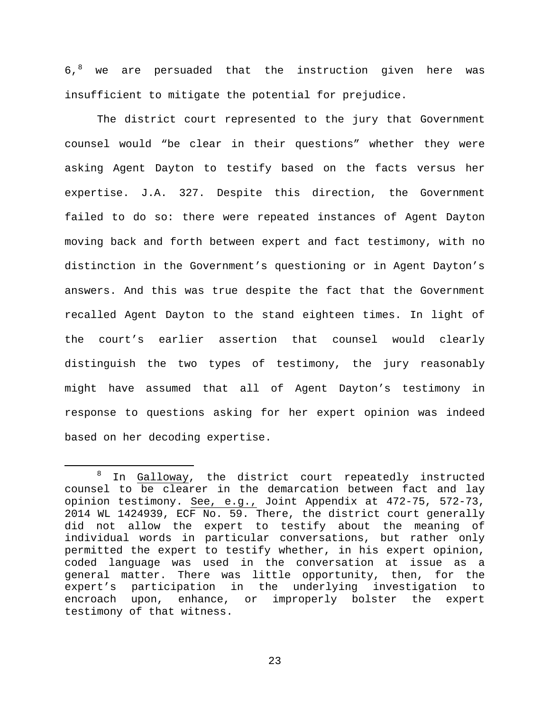$6.8$  $6.8$  we are persuaded that the instruction given here was insufficient to mitigate the potential for prejudice.

The district court represented to the jury that Government counsel would "be clear in their questions" whether they were asking Agent Dayton to testify based on the facts versus her expertise. J.A. 327. Despite this direction, the Government failed to do so: there were repeated instances of Agent Dayton moving back and forth between expert and fact testimony, with no distinction in the Government's questioning or in Agent Dayton's answers. And this was true despite the fact that the Government recalled Agent Dayton to the stand eighteen times. In light of the court's earlier assertion that counsel would clearly distinguish the two types of testimony, the jury reasonably might have assumed that all of Agent Dayton's testimony in response to questions asking for her expert opinion was indeed based on her decoding expertise.

<span id="page-22-0"></span><sup>&</sup>lt;sup>8</sup> In Galloway, the district court repeatedly instructed counsel to be clearer in the demarcation between fact and lay opinion testimony. See, e.g., Joint Appendix at 472-75, 572-73, 2014 WL 1424939, ECF No. 59. There, the district court generally did not allow the expert to testify about the meaning of individual words in particular conversations, but rather only permitted the expert to testify whether, in his expert opinion, coded language was used in the conversation at issue as a general matter. There was little opportunity, then, for the expert's participation in the underlying investigation to encroach upon, enhance, or improperly bolster the expert testimony of that witness.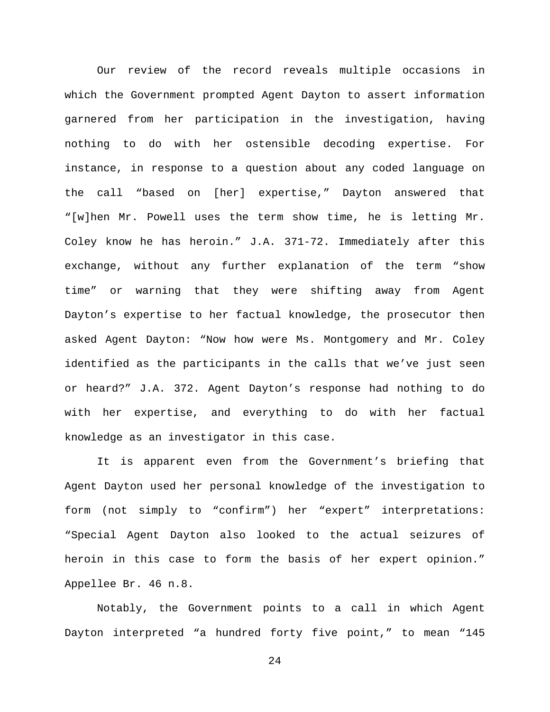Our review of the record reveals multiple occasions in which the Government prompted Agent Dayton to assert information garnered from her participation in the investigation, having nothing to do with her ostensible decoding expertise. For instance, in response to a question about any coded language on the call "based on [her] expertise," Dayton answered that "[w]hen Mr. Powell uses the term show time, he is letting Mr. Coley know he has heroin." J.A. 371-72. Immediately after this exchange, without any further explanation of the term "show time" or warning that they were shifting away from Agent Dayton's expertise to her factual knowledge, the prosecutor then asked Agent Dayton: "Now how were Ms. Montgomery and Mr. Coley identified as the participants in the calls that we've just seen or heard?" J.A. 372. Agent Dayton's response had nothing to do with her expertise, and everything to do with her factual knowledge as an investigator in this case.

It is apparent even from the Government's briefing that Agent Dayton used her personal knowledge of the investigation to form (not simply to "confirm") her "expert" interpretations: "Special Agent Dayton also looked to the actual seizures of heroin in this case to form the basis of her expert opinion." Appellee Br. 46 n.8.

Notably, the Government points to a call in which Agent Dayton interpreted "a hundred forty five point," to mean "145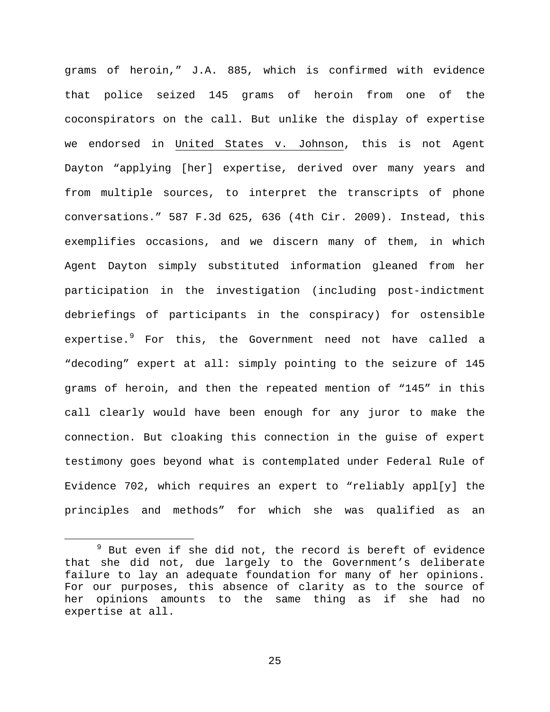grams of heroin," J.A. 885, which is confirmed with evidence that police seized 145 grams of heroin from one of the coconspirators on the call. But unlike the display of expertise we endorsed in United States v. Johnson, this is not Agent Dayton "applying [her] expertise, derived over many years and from multiple sources, to interpret the transcripts of phone conversations." 587 F.3d 625, 636 (4th Cir. 2009). Instead, this exemplifies occasions, and we discern many of them, in which Agent Dayton simply substituted information gleaned from her participation in the investigation (including post-indictment debriefings of participants in the conspiracy) for ostensible expertise.<sup>[9](#page-24-0)</sup> For this, the Government need not have called a "decoding" expert at all: simply pointing to the seizure of 145 grams of heroin, and then the repeated mention of "145" in this call clearly would have been enough for any juror to make the connection. But cloaking this connection in the guise of expert testimony goes beyond what is contemplated under Federal Rule of Evidence 702, which requires an expert to "reliably appl[y] the principles and methods" for which she was qualified as an

<span id="page-24-0"></span> $9$  But even if she did not, the record is bereft of evidence that she did not, due largely to the Government's deliberate failure to lay an adequate foundation for many of her opinions. For our purposes, this absence of clarity as to the source of her opinions amounts to the same thing as if she had no expertise at all.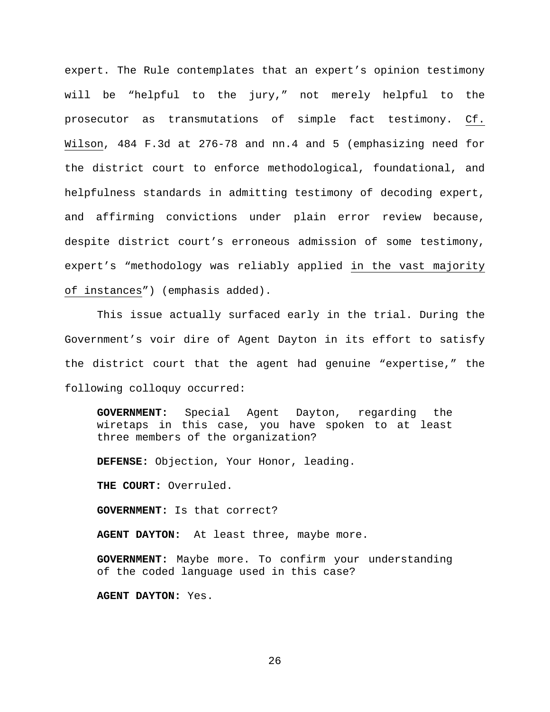expert. The Rule contemplates that an expert's opinion testimony will be "helpful to the jury," not merely helpful to the prosecutor as transmutations of simple fact testimony. Cf. Wilson, 484 F.3d at 276-78 and nn.4 and 5 (emphasizing need for the district court to enforce methodological, foundational, and helpfulness standards in admitting testimony of decoding expert, and affirming convictions under plain error review because, despite district court's erroneous admission of some testimony, expert's "methodology was reliably applied in the vast majority of instances") (emphasis added).

This issue actually surfaced early in the trial. During the Government's voir dire of Agent Dayton in its effort to satisfy the district court that the agent had genuine "expertise," the following colloquy occurred:

**GOVERNMENT:** Special Agent Dayton, regarding the wiretaps in this case, you have spoken to at least three members of the organization?

**DEFENSE:** Objection, Your Honor, leading.

**THE COURT:** Overruled.

**GOVERNMENT:** Is that correct?

**AGENT DAYTON:** At least three, maybe more.

**GOVERNMENT:** Maybe more. To confirm your understanding of the coded language used in this case?

**AGENT DAYTON:** Yes.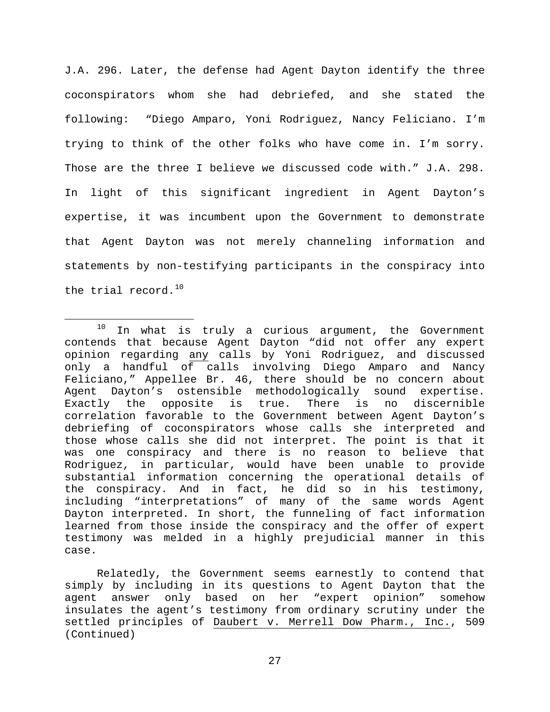J.A. 296. Later, the defense had Agent Dayton identify the three coconspirators whom she had debriefed, and she stated the following: "Diego Amparo, Yoni Rodriguez, Nancy Feliciano. I'm trying to think of the other folks who have come in. I'm sorry. Those are the three I believe we discussed code with." J.A. 298. In light of this significant ingredient in Agent Dayton's expertise, it was incumbent upon the Government to demonstrate that Agent Dayton was not merely channeling information and statements by non-testifying participants in the conspiracy into the trial record. $10$ 

<span id="page-26-0"></span> $10$  In what is truly a curious argument, the Government contends that because Agent Dayton "did not offer any expert opinion regarding any calls by Yoni Rodriguez, and discussed only a handful of calls involving Diego Amparo and Nancy Feliciano," Appellee Br. 46, there should be no concern about Agent Dayton's ostensible methodologically sound expertise.<br>Exactly the opposite is true. There is no discernible Exactly the opposite is true. There is no correlation favorable to the Government between Agent Dayton's debriefing of coconspirators whose calls she interpreted and those whose calls she did not interpret. The point is that it was one conspiracy and there is no reason to believe that Rodriguez, in particular, would have been unable to provide substantial information concerning the operational details of the conspiracy. And in fact, he did so in his testimony, including "interpretations" of many of the same words Agent Dayton interpreted. In short, the funneling of fact information learned from those inside the conspiracy and the offer of expert testimony was melded in a highly prejudicial manner in this case.

Relatedly, the Government seems earnestly to contend that simply by including in its questions to Agent Dayton that the agent answer only based on her "expert opinion" somehow insulates the agent's testimony from ordinary scrutiny under the settled principles of Daubert v. Merrell Dow Pharm., Inc., 509 (Continued)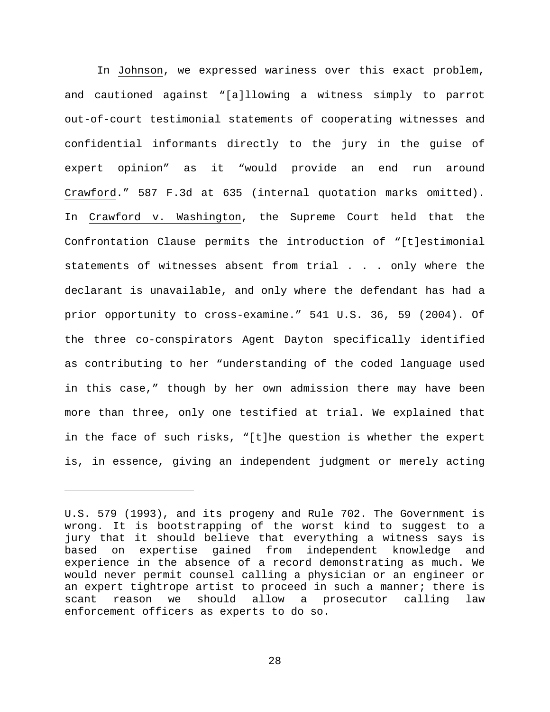In Johnson, we expressed wariness over this exact problem, and cautioned against "[a]llowing a witness simply to parrot out-of-court testimonial statements of cooperating witnesses and confidential informants directly to the jury in the guise of expert opinion" as it "would provide an end run around Crawford." 587 F.3d at 635 (internal quotation marks omitted). In Crawford v. Washington, the Supreme Court held that the Confrontation Clause permits the introduction of "[t]estimonial statements of witnesses absent from trial . . . only where the declarant is unavailable, and only where the defendant has had a prior opportunity to cross-examine." 541 U.S. 36, 59 (2004). Of the three co-conspirators Agent Dayton specifically identified as contributing to her "understanding of the coded language used in this case," though by her own admission there may have been more than three, only one testified at trial. We explained that in the face of such risks, "[t]he question is whether the expert is, in essence, giving an independent judgment or merely acting

Ĩ.

U.S. 579 (1993), and its progeny and Rule 702. The Government is wrong. It is bootstrapping of the worst kind to suggest to a jury that it should believe that everything a witness says is based on expertise gained from independent knowledge and experience in the absence of a record demonstrating as much. We would never permit counsel calling a physician or an engineer or an expert tightrope artist to proceed in such a manner; there is scant reason we should allow a prosecutor calling law enforcement officers as experts to do so.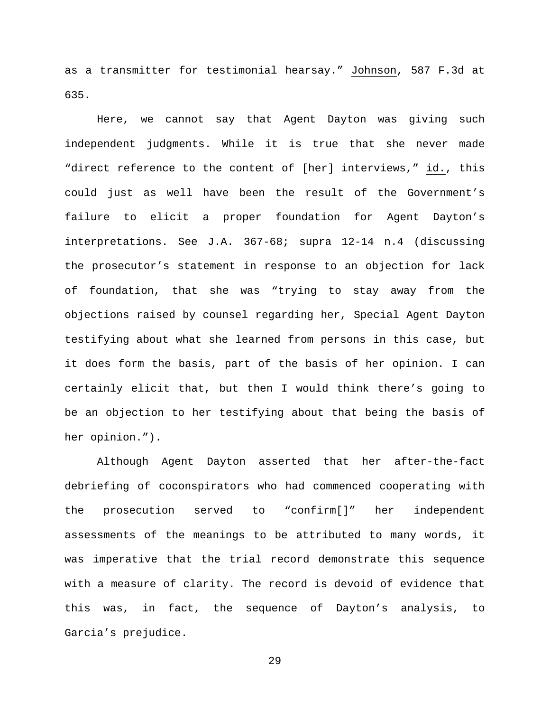as a transmitter for testimonial hearsay." Johnson, 587 F.3d at 635.

Here, we cannot say that Agent Dayton was giving such independent judgments. While it is true that she never made "direct reference to the content of [her] interviews," id., this could just as well have been the result of the Government's failure to elicit a proper foundation for Agent Dayton's interpretations. See J.A. 367-68; supra 12-14 n.4 (discussing the prosecutor's statement in response to an objection for lack of foundation, that she was "trying to stay away from the objections raised by counsel regarding her, Special Agent Dayton testifying about what she learned from persons in this case, but it does form the basis, part of the basis of her opinion. I can certainly elicit that, but then I would think there's going to be an objection to her testifying about that being the basis of her opinion.").

Although Agent Dayton asserted that her after-the-fact debriefing of coconspirators who had commenced cooperating with the prosecution served to "confirm[]" her independent assessments of the meanings to be attributed to many words, it was imperative that the trial record demonstrate this sequence with a measure of clarity. The record is devoid of evidence that this was, in fact, the sequence of Dayton's analysis, to Garcia's prejudice.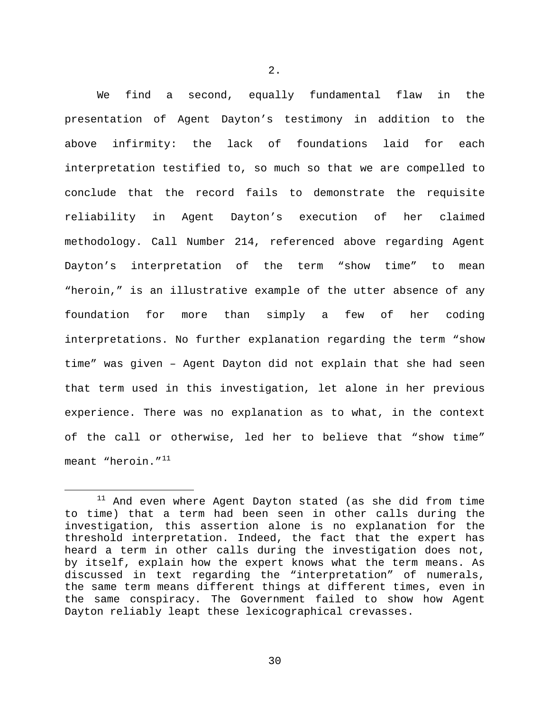We find a second, equally fundamental flaw in the presentation of Agent Dayton's testimony in addition to the above infirmity: the lack of foundations laid for each interpretation testified to, so much so that we are compelled to conclude that the record fails to demonstrate the requisite reliability in Agent Dayton's execution of her claimed methodology. Call Number 214, referenced above regarding Agent Dayton's interpretation of the term "show time" to mean "heroin," is an illustrative example of the utter absence of any foundation for more than simply a few of her coding interpretations. No further explanation regarding the term "show time" was given – Agent Dayton did not explain that she had seen that term used in this investigation, let alone in her previous experience. There was no explanation as to what, in the context of the call or otherwise, led her to believe that "show time" meant "heroin."<sup>[11](#page-29-0)</sup>

<span id="page-29-0"></span> $11$  And even where Agent Dayton stated (as she did from time to time) that a term had been seen in other calls during the investigation, this assertion alone is no explanation for the threshold interpretation. Indeed, the fact that the expert has heard a term in other calls during the investigation does not, by itself, explain how the expert knows what the term means. As discussed in text regarding the "interpretation" of numerals, the same term means different things at different times, even in the same conspiracy. The Government failed to show how Agent Dayton reliably leapt these lexicographical crevasses.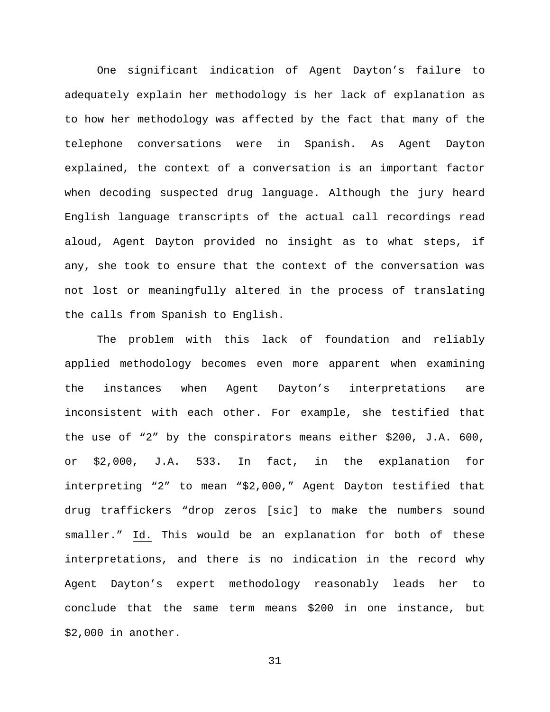One significant indication of Agent Dayton's failure to adequately explain her methodology is her lack of explanation as to how her methodology was affected by the fact that many of the telephone conversations were in Spanish. As Agent Dayton explained, the context of a conversation is an important factor when decoding suspected drug language. Although the jury heard English language transcripts of the actual call recordings read aloud, Agent Dayton provided no insight as to what steps, if any, she took to ensure that the context of the conversation was not lost or meaningfully altered in the process of translating the calls from Spanish to English.

The problem with this lack of foundation and reliably applied methodology becomes even more apparent when examining the instances when Agent Dayton's interpretations are inconsistent with each other. For example, she testified that the use of "2" by the conspirators means either \$200, J.A. 600, or \$2,000, J.A. 533. In fact, in the explanation for interpreting "2" to mean "\$2,000," Agent Dayton testified that drug traffickers "drop zeros [sic] to make the numbers sound smaller." Id. This would be an explanation for both of these interpretations, and there is no indication in the record why Agent Dayton's expert methodology reasonably leads her to conclude that the same term means \$200 in one instance, but \$2,000 in another.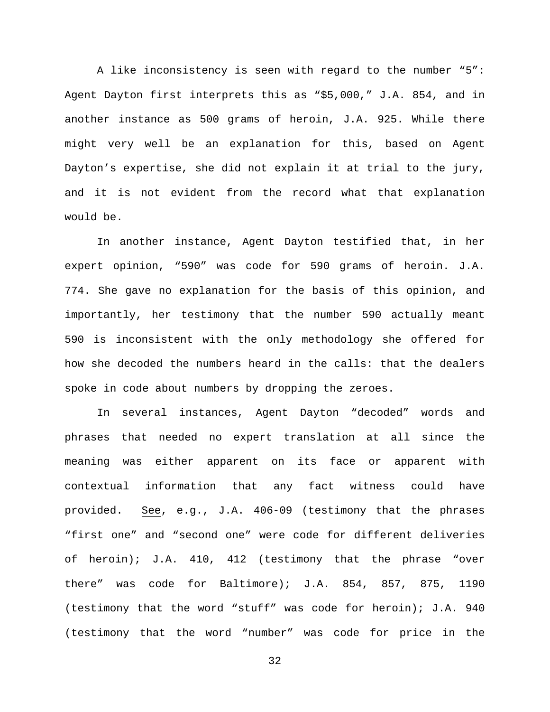A like inconsistency is seen with regard to the number "5": Agent Dayton first interprets this as "\$5,000," J.A. 854, and in another instance as 500 grams of heroin, J.A. 925. While there might very well be an explanation for this, based on Agent Dayton's expertise, she did not explain it at trial to the jury, and it is not evident from the record what that explanation would be.

In another instance, Agent Dayton testified that, in her expert opinion, "590" was code for 590 grams of heroin. J.A. 774. She gave no explanation for the basis of this opinion, and importantly, her testimony that the number 590 actually meant 590 is inconsistent with the only methodology she offered for how she decoded the numbers heard in the calls: that the dealers spoke in code about numbers by dropping the zeroes.

In several instances, Agent Dayton "decoded" words and phrases that needed no expert translation at all since the meaning was either apparent on its face or apparent with contextual information that any fact witness could have provided. See, e.g., J.A. 406-09 (testimony that the phrases "first one" and "second one" were code for different deliveries of heroin); J.A. 410, 412 (testimony that the phrase "over there" was code for Baltimore); J.A. 854, 857, 875, 1190 (testimony that the word "stuff" was code for heroin); J.A. 940 (testimony that the word "number" was code for price in the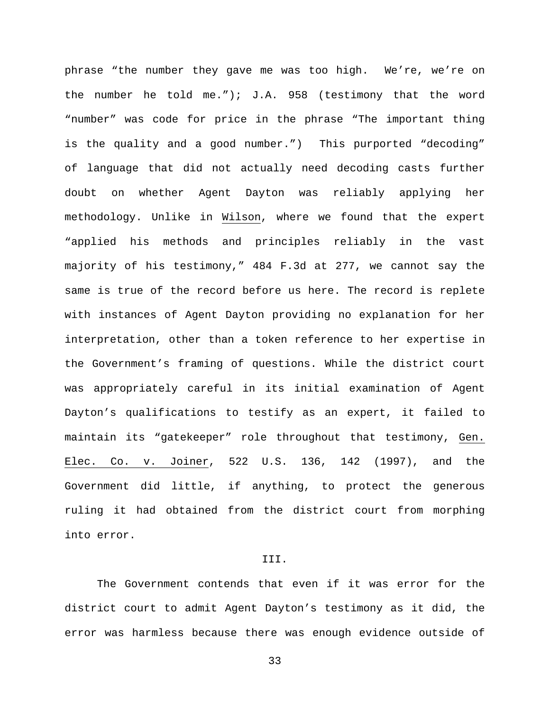phrase "the number they gave me was too high. We're, we're on the number he told me."); J.A. 958 (testimony that the word "number" was code for price in the phrase "The important thing is the quality and a good number.") This purported "decoding" of language that did not actually need decoding casts further doubt on whether Agent Dayton was reliably applying her methodology. Unlike in Wilson, where we found that the expert "applied his methods and principles reliably in the vast majority of his testimony," 484 F.3d at 277, we cannot say the same is true of the record before us here. The record is replete with instances of Agent Dayton providing no explanation for her interpretation, other than a token reference to her expertise in the Government's framing of questions. While the district court was appropriately careful in its initial examination of Agent Dayton's qualifications to testify as an expert, it failed to maintain its "gatekeeper" role throughout that testimony, Gen. Elec. Co. v. Joiner, 522 U.S. 136, 142 (1997), and the Government did little, if anything, to protect the generous ruling it had obtained from the district court from morphing into error.

## III.

The Government contends that even if it was error for the district court to admit Agent Dayton's testimony as it did, the error was harmless because there was enough evidence outside of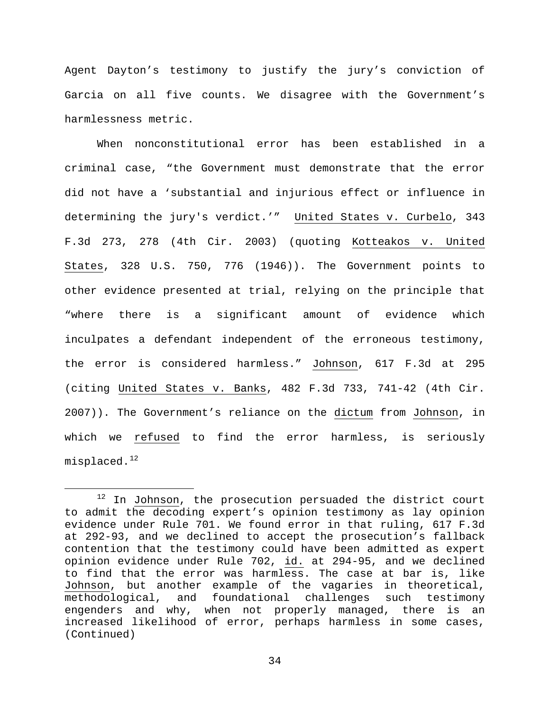Agent Dayton's testimony to justify the jury's conviction of Garcia on all five counts. We disagree with the Government's harmlessness metric.

When nonconstitutional error has been established in a criminal case, "the Government must demonstrate that the error did not have a 'substantial and injurious effect or influence in determining the jury's verdict.'" United States v. Curbelo, 343 F.3d 273, 278 (4th Cir. 2003) (quoting Kotteakos v. United States, 328 U.S. 750, 776 (1946)). The Government points to other evidence presented at trial, relying on the principle that "where there is a significant amount of evidence which inculpates a defendant independent of the erroneous testimony, the error is considered harmless." Johnson, 617 F.3d at 295 (citing United States v. Banks, 482 F.3d 733, 741-42 (4th Cir. 2007)). The Government's reliance on the dictum from Johnson, in which we refused to find the error harmless, is seriously  $misplaced.<sup>12</sup>$  $misplaced.<sup>12</sup>$  $misplaced.<sup>12</sup>$ 

<span id="page-33-0"></span> $12$  In Johnson, the prosecution persuaded the district court to admit the decoding expert's opinion testimony as lay opinion evidence under Rule 701. We found error in that ruling, 617 F.3d at 292-93, and we declined to accept the prosecution's fallback contention that the testimony could have been admitted as expert opinion evidence under Rule 702, id. at 294-95, and we declined to find that the error was harmless. The case at bar is, like Johnson, but another example of the vagaries in theoretical,<br>methodological, and foundational challenges such testimony methodological, and foundational challenges engenders and why, when not properly managed, there is an increased likelihood of error, perhaps harmless in some cases, (Continued)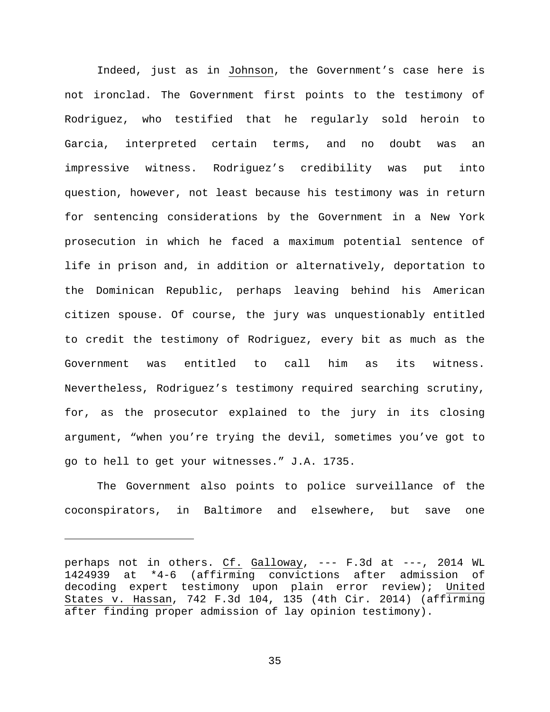Indeed, just as in Johnson, the Government's case here is not ironclad. The Government first points to the testimony of Rodriguez, who testified that he regularly sold heroin to Garcia, interpreted certain terms, and no doubt was an impressive witness. Rodriguez's credibility was put into question, however, not least because his testimony was in return for sentencing considerations by the Government in a New York prosecution in which he faced a maximum potential sentence of life in prison and, in addition or alternatively, deportation to the Dominican Republic, perhaps leaving behind his American citizen spouse. Of course, the jury was unquestionably entitled to credit the testimony of Rodriguez, every bit as much as the Government was entitled to call him as its witness. Nevertheless, Rodriguez's testimony required searching scrutiny, for, as the prosecutor explained to the jury in its closing argument, "when you're trying the devil, sometimes you've got to go to hell to get your witnesses." J.A. 1735.

The Government also points to police surveillance of the coconspirators, in Baltimore and elsewhere, but save one

Ĩ.

perhaps not in others. Cf. Galloway, --- F.3d at ---, 2014 WL 1424939 at \*4-6 (affirming convictions after admission of decoding expert testimony upon plain error review); United States v. Hassan, 742 F.3d 104, 135 (4th Cir. 2014) (affirming after finding proper admission of lay opinion testimony).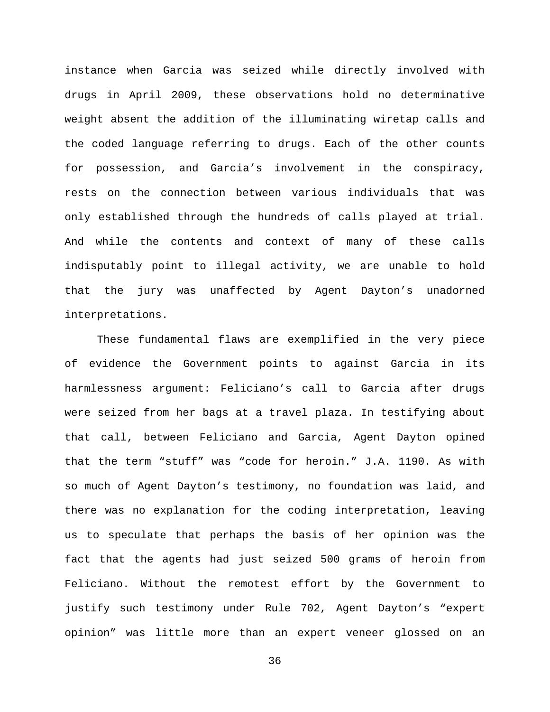instance when Garcia was seized while directly involved with drugs in April 2009, these observations hold no determinative weight absent the addition of the illuminating wiretap calls and the coded language referring to drugs. Each of the other counts for possession, and Garcia's involvement in the conspiracy, rests on the connection between various individuals that was only established through the hundreds of calls played at trial. And while the contents and context of many of these calls indisputably point to illegal activity, we are unable to hold that the jury was unaffected by Agent Dayton's unadorned interpretations.

These fundamental flaws are exemplified in the very piece of evidence the Government points to against Garcia in its harmlessness argument: Feliciano's call to Garcia after drugs were seized from her bags at a travel plaza. In testifying about that call, between Feliciano and Garcia, Agent Dayton opined that the term "stuff" was "code for heroin." J.A. 1190. As with so much of Agent Dayton's testimony, no foundation was laid, and there was no explanation for the coding interpretation, leaving us to speculate that perhaps the basis of her opinion was the fact that the agents had just seized 500 grams of heroin from Feliciano. Without the remotest effort by the Government to justify such testimony under Rule 702, Agent Dayton's "expert opinion" was little more than an expert veneer glossed on an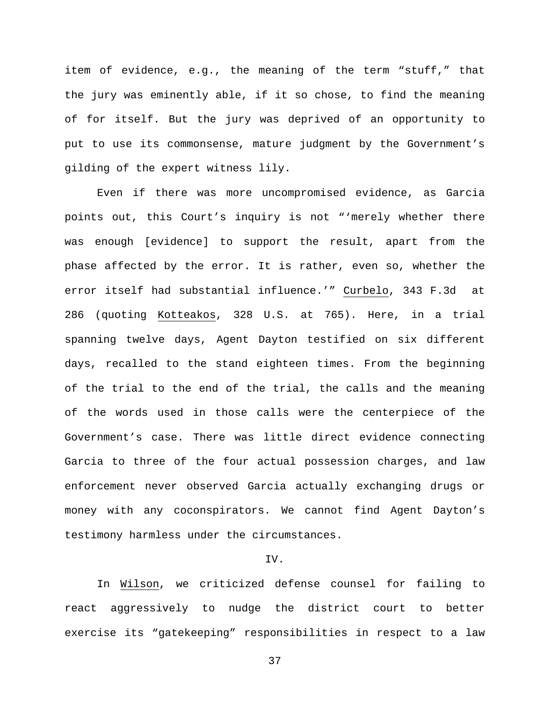item of evidence, e.g., the meaning of the term "stuff," that the jury was eminently able, if it so chose, to find the meaning of for itself. But the jury was deprived of an opportunity to put to use its commonsense, mature judgment by the Government's gilding of the expert witness lily.

Even if there was more uncompromised evidence, as Garcia points out, this Court's inquiry is not "'merely whether there was enough [evidence] to support the result, apart from the phase affected by the error. It is rather, even so, whether the error itself had substantial influence.'" Curbelo, 343 F.3d at 286 (quoting Kotteakos, 328 U.S. at 765). Here, in a trial spanning twelve days, Agent Dayton testified on six different days, recalled to the stand eighteen times. From the beginning of the trial to the end of the trial, the calls and the meaning of the words used in those calls were the centerpiece of the Government's case. There was little direct evidence connecting Garcia to three of the four actual possession charges, and law enforcement never observed Garcia actually exchanging drugs or money with any coconspirators. We cannot find Agent Dayton's testimony harmless under the circumstances.

# IV.

In Wilson, we criticized defense counsel for failing to react aggressively to nudge the district court to better exercise its "gatekeeping" responsibilities in respect to a law